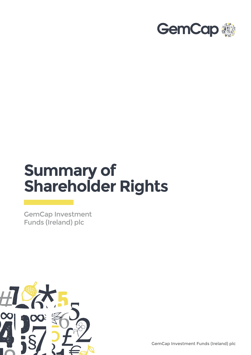

# **Summary of Shareholder Rights**

GemCap Investment Funds (Ireland) plc



GemCap Investment Funds (Ireland) plc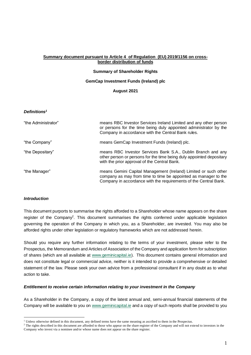#### **Summary document pursuant to Article 4 of Regulation (EU) 2019/1156 on crossborder distribution of funds**

# **Summary of Shareholder Rights**

#### **GemCap Investment Funds (Ireland) plc**

#### **August 2021**

### *Definitions<sup>1</sup>*

| "the Administrator" | means RBC Investor Services Ireland Limited and any other person<br>or persons for the time being duly appointed administrator by the<br>Company in accordance with the Central Bank rules.            |
|---------------------|--------------------------------------------------------------------------------------------------------------------------------------------------------------------------------------------------------|
| "the Company"       | means GemCap Investment Funds (Ireland) plc.                                                                                                                                                           |
| "the Depositary"    | means RBC Investor Services Bank S.A., Dublin Branch and any<br>other person or persons for the time being duly appointed depositary<br>with the prior approval of the Central Bank.                   |
| "the Manager"       | means Gemini Capital Management (Ireland) Limited or such other<br>company as may from time to time be appointed as manager to the<br>Company in accordance with the requirements of the Central Bank. |

### *Introduction*

This document purports to summarise the rights afforded to a Shareholder whose name appears on the share register of the Company<sup>2</sup>. This document summarises the rights conferred under applicable legislation governing the operation of the Company in which you, as a Shareholder, are invested. You may also be afforded rights under other legislation or regulatory frameworks which are not addressed herein.

Should you require any further information relating to the terms of your investment, please refer to the Prospectus, the Memorandum and Articles of Association of the Company and application form for subscription of shares (which are all available at [www.geminicapital.ie\)](http://www.geminicapital.ie/). This document contains general information and does not constitute legal or commercial advice, neither is it intended to provide a comprehensive or detailed statement of the law. Please seek your own advice from a professional consultant if in any doubt as to what action to take.

### *Entitlement to receive certain information relating to your investment in the Company*

As a Shareholder in the Company, a copy of the latest annual and, semi-annual financial statements of the Company will be available to you on [www.geminicapital.ie](http://www.geminicapital.ie/) and a copy of such reports shall be provided to you

<sup>&</sup>lt;sup>1</sup> Unless otherwise defined in this document, any defined terms have the same meaning as ascribed to them in the Prospectus.

<sup>&</sup>lt;sup>2</sup> The rights described in this document are afforded to those who appear on the share register of the Company and will not extend to investors in the Company who invest via a nominee and/or whose name does not appear on the share register.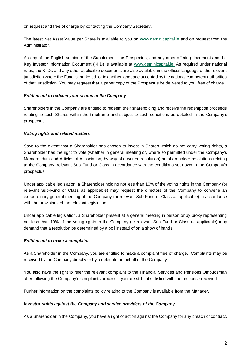on request and free of charge by contacting the Company Secretary.

The latest Net Asset Value per Share is available to you on [www.geminicapital.ie](http://www.geminicapital.ie/) and on request from the Administrator.

A copy of the English version of the Supplement, the Prospectus, and any other offering document and the Key Investor Information Document (KIID) is available at [www.geminicapital.ie.](http://www.geminicapital.ie/) As required under national rules, the KIIDs and any other applicable documents are also available in the official language of the relevant jurisdiction where the Fund is marketed, or in another language accepted by the national competent authorities of that jurisdiction. You may request that a paper copy of the Prospectus be delivered to you, free of charge.

## *Entitlement to redeem your shares in the Company*

Shareholders in the Company are entitled to redeem their shareholding and receive the redemption proceeds relating to such Shares within the timeframe and subject to such conditions as detailed in the Company's prospectus.

## *Voting rights and related matters*

Save to the extent that a Shareholder has chosen to invest in Shares which do not carry voting rights, a Shareholder has the right to vote (whether in general meeting or, where so permitted under the Company's Memorandum and Articles of Association, by way of a written resolution) on shareholder resolutions relating to the Company, relevant Sub-Fund or Class in accordance with the conditions set down in the Company's prospectus.

Under applicable legislation, a Shareholder holding not less than 10% of the voting rights in the Company (or relevant Sub-Fund or Class as applicable) may request the directors of the Company to convene an extraordinary general meeting of the Company (or relevant Sub-Fund or Class as applicable) in accordance with the provisions of the relevant legislation.

Under applicable legislation, a Shareholder present at a general meeting in person or by proxy representing not less than 10% of the voting rights in the Company (or relevant Sub-Fund or Class as applicable) may demand that a resolution be determined by a poll instead of on a show of hands.

# *Entitlement to make a complaint*

As a Shareholder in the Company, you are entitled to make a complaint free of charge. Complaints may be received by the Company directly or by a delegate on behalf of the Company.

You also have the right to refer the relevant complaint to the Financial Services and Pensions Ombudsman after following the Company's complaints process if you are still not satisfied with the response received.

Further information on the complaints policy relating to the Company is available from the Manager.

### *Investor rights against the Company and service providers of the Company*

As a Shareholder in the Company, you have a right of action against the Company for any breach of contract.